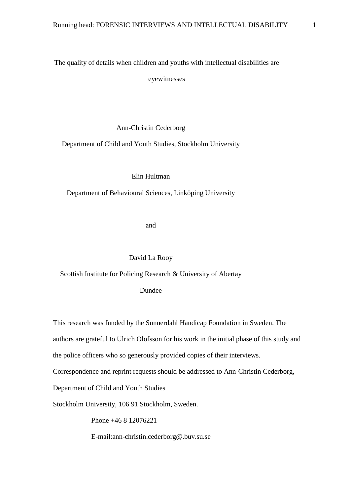The quality of details when children and youths with intellectual disabilities are

eyewitnesses

Ann-Christin Cederborg

Department of Child and Youth Studies, Stockholm University

Elin Hultman

Department of Behavioural Sciences, Linköping University

and

David La Rooy

Scottish Institute for Policing Research & University of Abertay

Dundee

This research was funded by the Sunnerdahl Handicap Foundation in Sweden. The

authors are grateful to Ulrich Olofsson for his work in the initial phase of this study and

the police officers who so generously provided copies of their interviews.

Correspondence and reprint requests should be addressed to Ann-Christin Cederborg,

Department of Child and Youth Studies

Stockholm University, 106 91 Stockholm, Sweden.

Phone +46 8 12076221

E-mail:ann-christin.cederborg@.buv.su.se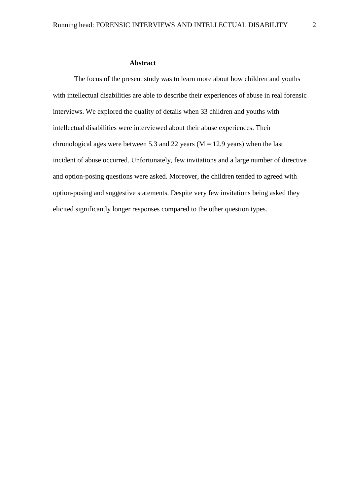## **Abstract**

The focus of the present study was to learn more about how children and youths with intellectual disabilities are able to describe their experiences of abuse in real forensic interviews. We explored the quality of details when 33 children and youths with intellectual disabilities were interviewed about their abuse experiences. Their chronological ages were between 5.3 and 22 years ( $M = 12.9$  years) when the last incident of abuse occurred. Unfortunately, few invitations and a large number of directive and option-posing questions were asked. Moreover, the children tended to agreed with option-posing and suggestive statements. Despite very few invitations being asked they elicited significantly longer responses compared to the other question types.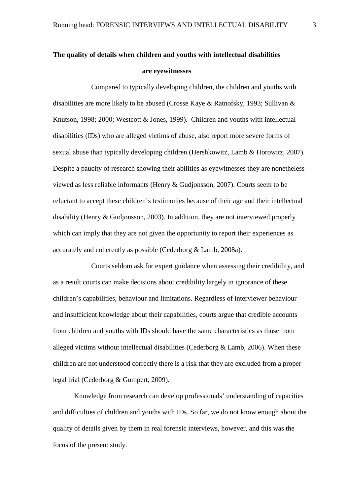# **The quality of details when children and youths with intellectual disabilities are eyewitnesses**

 Compared to typically developing children, the children and youths with disabilities are more likely to be abused (Crosse Kaye & Ratnofsky, 1993; Sullivan & Knutson, 1998; 2000; Westcott & Jones, 1999). Children and youths with intellectual disabilities (IDs) who are alleged victims of abuse, also report more severe forms of sexual abuse than typically developing children (Hershkowitz, Lamb & Horowitz, 2007). Despite a paucity of research showing their abilities as eyewitnesses they are nonetheless viewed as less reliable informants (Henry & Gudjonsson, 2007). Courts seem to be reluctant to accept these children's testimonies because of their age and their intellectual disability (Henry & Gudjonsson, 2003). In addition, they are not interviewed properly which can imply that they are not given the opportunity to report their experiences as accurately and coherently as possible (Cederborg & Lamb, 2008a).

 Courts seldom ask for expert guidance when assessing their credibility, and as a result courts can make decisions about credibility largely in ignorance of these children's capabilities, behaviour and limitations. Regardless of interviewer behaviour and insufficient knowledge about their capabilities, courts argue that credible accounts from children and youths with IDs should have the same characteristics as those from alleged victims without intellectual disabilities (Cederborg & Lamb, 2006). When these children are not understood correctly there is a risk that they are excluded from a proper legal trial (Cederborg & Gumpert, 2009).

Knowledge from research can develop professionals' understanding of capacities and difficulties of children and youths with IDs. So far, we do not know enough about the quality of details given by them in real forensic interviews, however, and this was the focus of the present study.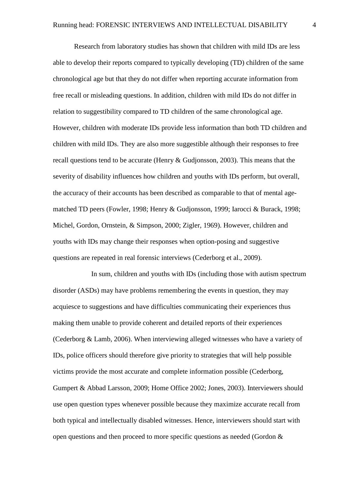Research from laboratory studies has shown that children with mild IDs are less able to develop their reports compared to typically developing (TD) children of the same chronological age but that they do not differ when reporting accurate information from free recall or misleading questions. In addition, children with mild IDs do not differ in relation to suggestibility compared to TD children of the same chronological age. However, children with moderate IDs provide less information than both TD children and children with mild IDs. They are also more suggestible although their responses to free recall questions tend to be accurate (Henry & Gudjonsson, 2003). This means that the severity of disability influences how children and youths with IDs perform, but overall, the accuracy of their accounts has been described as comparable to that of mental agematched TD peers (Fowler, 1998; Henry & Gudjonsson, 1999; Iarocci & Burack, 1998; Michel, Gordon, Ornstein, & Simpson, 2000; Zigler, 1969). However, children and youths with IDs may change their responses when option-posing and suggestive questions are repeated in real forensic interviews (Cederborg et al., 2009).

In sum, children and youths with IDs (including those with autism spectrum disorder (ASDs) may have problems remembering the events in question, they may acquiesce to suggestions and have difficulties communicating their experiences thus making them unable to provide coherent and detailed reports of their experiences (Cederborg & Lamb, 2006). When interviewing alleged witnesses who have a variety of IDs, police officers should therefore give priority to strategies that will help possible victims provide the most accurate and complete information possible (Cederborg, Gumpert & Abbad Larsson, 2009; Home Office 2002; Jones, 2003). Interviewers should use open question types whenever possible because they maximize accurate recall from both typical and intellectually disabled witnesses. Hence, interviewers should start with open questions and then proceed to more specific questions as needed (Gordon &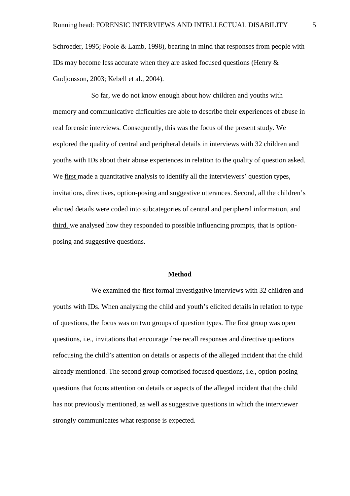Schroeder, 1995; Poole & Lamb, 1998), bearing in mind that responses from people with IDs may become less accurate when they are asked focused questions (Henry & Gudjonsson, 2003; Kebell et al., 2004).

 So far, we do not know enough about how children and youths with memory and communicative difficulties are able to describe their experiences of abuse in real forensic interviews. Consequently, this was the focus of the present study. We explored the quality of central and peripheral details in interviews with 32 children and youths with IDs about their abuse experiences in relation to the quality of question asked. We first made a quantitative analysis to identify all the interviewers' question types, invitations, directives, option-posing and suggestive utterances. Second, all the children's elicited details were coded into subcategories of central and peripheral information, and third, we analysed how they responded to possible influencing prompts, that is optionposing and suggestive questions.

## **Method**

We examined the first formal investigative interviews with 32 children and youths with IDs. When analysing the child and youth's elicited details in relation to type of questions, the focus was on two groups of question types. The first group was open questions, i.e., invitations that encourage free recall responses and directive questions refocusing the child's attention on details or aspects of the alleged incident that the child already mentioned. The second group comprised focused questions, i.e., option-posing questions that focus attention on details or aspects of the alleged incident that the child has not previously mentioned, as well as suggestive questions in which the interviewer strongly communicates what response is expected.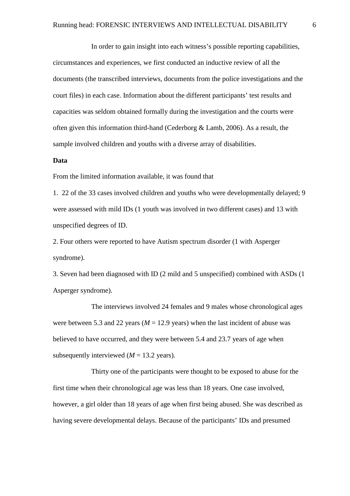In order to gain insight into each witness's possible reporting capabilities, circumstances and experiences, we first conducted an inductive review of all the documents (the transcribed interviews, documents from the police investigations and the court files) in each case. Information about the different participants' test results and capacities was seldom obtained formally during the investigation and the courts were often given this information third-hand (Cederborg & Lamb, 2006). As a result, the sample involved children and youths with a diverse array of disabilities.

## **Data**

From the limited information available, it was found that

1. 22 of the 33 cases involved children and youths who were developmentally delayed; 9 were assessed with mild IDs (1 youth was involved in two different cases) and 13 with unspecified degrees of ID.

2. Four others were reported to have Autism spectrum disorder (1 with Asperger syndrome).

3. Seven had been diagnosed with ID (2 mild and 5 unspecified) combined with ASDs (1 Asperger syndrome).

The interviews involved 24 females and 9 males whose chronological ages were between 5.3 and 22 years ( $M = 12.9$  years) when the last incident of abuse was believed to have occurred, and they were between 5.4 and 23.7 years of age when subsequently interviewed  $(M = 13.2$  years).

 Thirty one of the participants were thought to be exposed to abuse for the first time when their chronological age was less than 18 years. One case involved, however, a girl older than 18 years of age when first being abused. She was described as having severe developmental delays. Because of the participants' IDs and presumed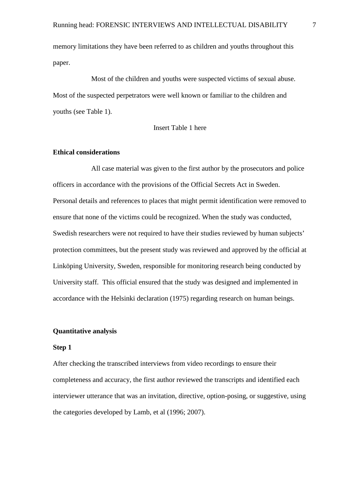memory limitations they have been referred to as children and youths throughout this paper.

 Most of the children and youths were suspected victims of sexual abuse. Most of the suspected perpetrators were well known or familiar to the children and youths (see Table 1).

#### Insert Table 1 here

# **Ethical considerations**

All case material was given to the first author by the prosecutors and police officers in accordance with the provisions of the Official Secrets Act in Sweden. Personal details and references to places that might permit identification were removed to ensure that none of the victims could be recognized. When the study was conducted, Swedish researchers were not required to have their studies reviewed by human subjects' protection committees, but the present study was reviewed and approved by the official at Linköping University, Sweden, responsible for monitoring research being conducted by University staff. This official ensured that the study was designed and implemented in accordance with the Helsinki declaration (1975) regarding research on human beings.

## **Quantitative analysis**

## **Step 1**

After checking the transcribed interviews from video recordings to ensure their completeness and accuracy, the first author reviewed the transcripts and identified each interviewer utterance that was an invitation, directive, option-posing, or suggestive, using the categories developed by Lamb, et al (1996; 2007).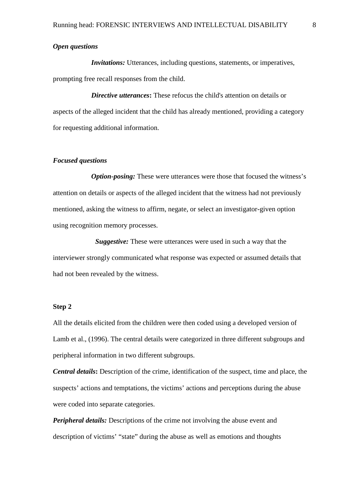## *Open questions*

*Invitations:* Utterances, including questions, statements, or imperatives, prompting free recall responses from the child.

*Directive utterances*: These refocus the child's attention on details or aspects of the alleged incident that the child has already mentioned, providing a category for requesting additional information.

#### *Focused questions*

*Option-posing:* These were utterances were those that focused the witness's attention on details or aspects of the alleged incident that the witness had not previously mentioned, asking the witness to affirm, negate, or select an investigator-given option using recognition memory processes.

*Suggestive:* These were utterances were used in such a way that the interviewer strongly communicated what response was expected or assumed details that had not been revealed by the witness.

# **Step 2**

All the details elicited from the children were then coded using a developed version of Lamb et al., (1996). The central details were categorized in three different subgroups and peripheral information in two different subgroups.

*Central details***:** Description of the crime, identification of the suspect, time and place, the suspects' actions and temptations, the victims' actions and perceptions during the abuse were coded into separate categories.

*Peripheral details:* Descriptions of the crime not involving the abuse event and description of victims' "state" during the abuse as well as emotions and thoughts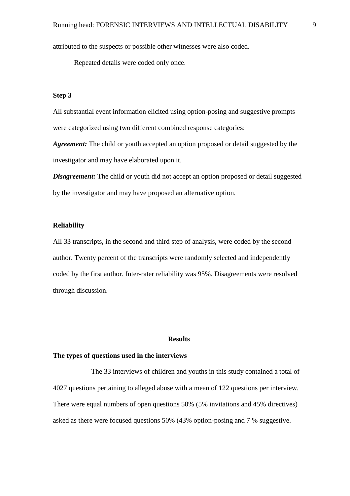attributed to the suspects or possible other witnesses were also coded.

Repeated details were coded only once.

# **Step 3**

All substantial event information elicited using option-posing and suggestive prompts were categorized using two different combined response categories:

*Agreement:* The child or youth accepted an option proposed or detail suggested by the investigator and may have elaborated upon it.

*Disagreement:* The child or youth did not accept an option proposed or detail suggested by the investigator and may have proposed an alternative option.

# **Reliability**

All 33 transcripts, in the second and third step of analysis, were coded by the second author. Twenty percent of the transcripts were randomly selected and independently coded by the first author. Inter-rater reliability was 95%. Disagreements were resolved through discussion.

#### **Results**

#### **The types of questions used in the interviews**

 The 33 interviews of children and youths in this study contained a total of 4027 questions pertaining to alleged abuse with a mean of 122 questions per interview. There were equal numbers of open questions 50% (5% invitations and 45% directives) asked as there were focused questions 50% (43% option-posing and 7 % suggestive.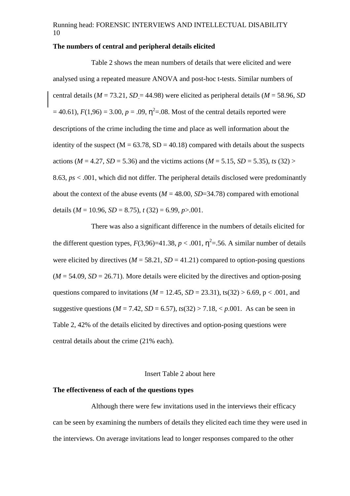# **The numbers of central and peripheral details elicited**

 Table 2 shows the mean numbers of details that were elicited and were analysed using a repeated measure ANOVA and post-hoc t-tests. Similar numbers of central details ( $M = 73.21$ ,  $SD = 44.98$ ) were elicited as peripheral details ( $M = 58.96$ , *SD*  $=$  40.61),  $F(1,96) = 3.00$ ,  $p = .09$ ,  $\eta^2 = .08$ . Most of the central details reported were descriptions of the crime including the time and place as well information about the identity of the suspect ( $M = 63.78$ ,  $SD = 40.18$ ) compared with details about the suspects actions ( $M = 4.27$ ,  $SD = 5.36$ ) and the victims actions ( $M = 5.15$ ,  $SD = 5.35$ ), ts (32) > 8.63, *ps* < .001, which did not differ. The peripheral details disclosed were predominantly about the context of the abuse events  $(M = 48.00, SD = 34.78)$  compared with emotional details  $(M = 10.96, SD = 8.75)$ ,  $t(32) = 6.99, p > .001$ .

 There was also a significant difference in the numbers of details elicited for the different question types,  $F(3,96)=41.38$ ,  $p < .001$ ,  $\eta^2 = .56$ . A similar number of details were elicited by directives ( $M = 58.21$ ,  $SD = 41.21$ ) compared to option-posing questions  $(M = 54.09, SD = 26.71)$ . More details were elicited by the directives and option-posing questions compared to invitations ( $M = 12.45$ ,  $SD = 23.31$ ), ts(32) > 6.69, p < .001, and suggestive questions ( $M = 7.42$ ,  $SD = 6.57$ ),  $ts(32) > 7.18$ ,  $\lt p.001$ . As can be seen in Table 2, 42% of the details elicited by directives and option-posing questions were central details about the crime (21% each).

## Insert Table 2 about here

# **The effectiveness of each of the questions types**

 Although there were few invitations used in the interviews their efficacy can be seen by examining the numbers of details they elicited each time they were used in the interviews. On average invitations lead to longer responses compared to the other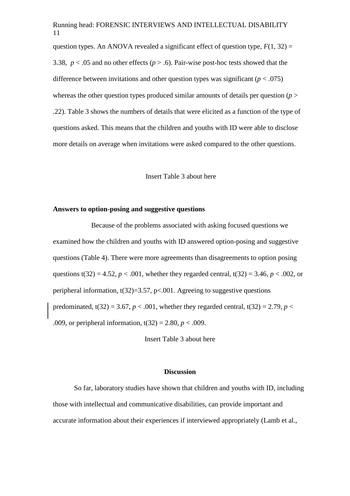question types. An ANOVA revealed a significant effect of question type,  $F(1, 32) =$ 3.38,  $p < 0.05$  and no other effects ( $p > 0.6$ ). Pair-wise post-hoc tests showed that the difference between invitations and other question types was significant  $(p < .075)$ whereas the other question types produced similar amounts of details per question  $(p >$ .22). Table 3 shows the numbers of details that were elicited as a function of the type of questions asked. This means that the children and youths with ID were able to disclose more details on average when invitations were asked compared to the other questions.

#### Insert Table 3 about here

## **Answers to option-posing and suggestive questions**

Because of the problems associated with asking focused questions we examined how the children and youths with ID answered option-posing and suggestive questions (Table 4). There were more agreements than disagreements to option posing questions t(32) = 4.52,  $p < .001$ , whether they regarded central, t(32) = 3.46,  $p < .002$ , or peripheral information,  $t(32)=3.57$ ,  $p<.001$ . Agreeing to suggestive questions predominated,  $t(32) = 3.67$ ,  $p < .001$ , whether they regarded central,  $t(32) = 2.79$ ,  $p <$ .009, or peripheral information,  $t(32) = 2.80$ ,  $p < .009$ .

Insert Table 3 about here

## **Discussion**

So far, laboratory studies have shown that children and youths with ID, including those with intellectual and communicative disabilities, can provide important and accurate information about their experiences if interviewed appropriately (Lamb et al.,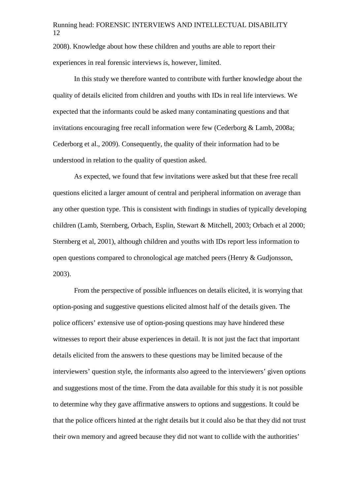2008). Knowledge about how these children and youths are able to report their experiences in real forensic interviews is, however, limited.

In this study we therefore wanted to contribute with further knowledge about the quality of details elicited from children and youths with IDs in real life interviews. We expected that the informants could be asked many contaminating questions and that invitations encouraging free recall information were few (Cederborg & Lamb, 2008a; Cederborg et al., 2009). Consequently, the quality of their information had to be understood in relation to the quality of question asked.

As expected, we found that few invitations were asked but that these free recall questions elicited a larger amount of central and peripheral information on average than any other question type. This is consistent with findings in studies of typically developing children (Lamb, Sternberg, Orbach, Esplin, Stewart & Mitchell, 2003; Orbach et al 2000; Sternberg et al, 2001), although children and youths with IDs report less information to open questions compared to chronological age matched peers (Henry & Gudjonsson, 2003).

From the perspective of possible influences on details elicited, it is worrying that option-posing and suggestive questions elicited almost half of the details given. The police officers' extensive use of option-posing questions may have hindered these witnesses to report their abuse experiences in detail. It is not just the fact that important details elicited from the answers to these questions may be limited because of the interviewers' question style, the informants also agreed to the interviewers' given options and suggestions most of the time. From the data available for this study it is not possible to determine why they gave affirmative answers to options and suggestions. It could be that the police officers hinted at the right details but it could also be that they did not trust their own memory and agreed because they did not want to collide with the authorities'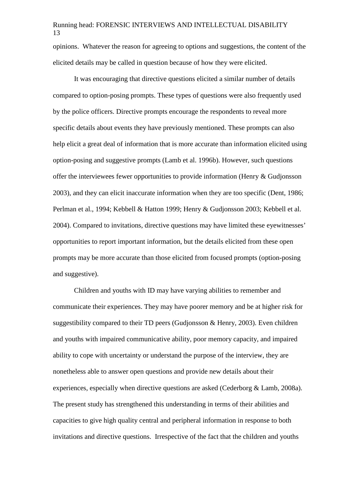opinions. Whatever the reason for agreeing to options and suggestions, the content of the elicited details may be called in question because of how they were elicited.

It was encouraging that directive questions elicited a similar number of details compared to option-posing prompts. These types of questions were also frequently used by the police officers. Directive prompts encourage the respondents to reveal more specific details about events they have previously mentioned. These prompts can also help elicit a great deal of information that is more accurate than information elicited using option-posing and suggestive prompts (Lamb et al. 1996b). However, such questions offer the interviewees fewer opportunities to provide information (Henry & Gudjonsson 2003), and they can elicit inaccurate information when they are too specific (Dent, 1986; Perlman et al., 1994; Kebbell & Hatton 1999; Henry & Gudjonsson 2003; Kebbell et al. 2004). Compared to invitations, directive questions may have limited these eyewitnesses' opportunities to report important information, but the details elicited from these open prompts may be more accurate than those elicited from focused prompts (option-posing and suggestive).

Children and youths with ID may have varying abilities to remember and communicate their experiences. They may have poorer memory and be at higher risk for suggestibility compared to their TD peers (Gudjonsson & Henry, 2003). Even children and youths with impaired communicative ability, poor memory capacity, and impaired ability to cope with uncertainty or understand the purpose of the interview, they are nonetheless able to answer open questions and provide new details about their experiences, especially when directive questions are asked (Cederborg & Lamb, 2008a). The present study has strengthened this understanding in terms of their abilities and capacities to give high quality central and peripheral information in response to both invitations and directive questions. Irrespective of the fact that the children and youths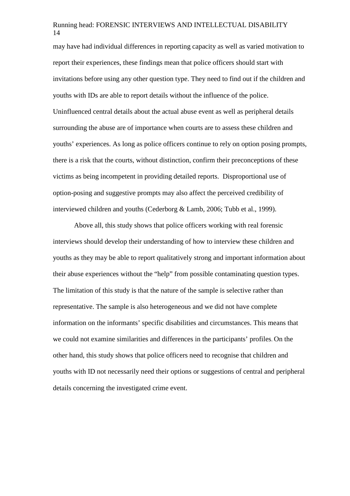may have had individual differences in reporting capacity as well as varied motivation to report their experiences, these findings mean that police officers should start with invitations before using any other question type. They need to find out if the children and youths with IDs are able to report details without the influence of the police. Uninfluenced central details about the actual abuse event as well as peripheral details surrounding the abuse are of importance when courts are to assess these children and youths' experiences. As long as police officers continue to rely on option posing prompts, there is a risk that the courts, without distinction, confirm their preconceptions of these victims as being incompetent in providing detailed reports. Disproportional use of option-posing and suggestive prompts may also affect the perceived credibility of interviewed children and youths (Cederborg & Lamb, 2006; Tubb et al., 1999).

Above all, this study shows that police officers working with real forensic interviews should develop their understanding of how to interview these children and youths as they may be able to report qualitatively strong and important information about their abuse experiences without the "help" from possible contaminating question types. The limitation of this study is that the nature of the sample is selective rather than representative. The sample is also heterogeneous and we did not have complete information on the informants' specific disabilities and circumstances. This means that we could not examine similarities and differences in the participants' profiles. On the other hand, this study shows that police officers need to recognise that children and youths with ID not necessarily need their options or suggestions of central and peripheral details concerning the investigated crime event.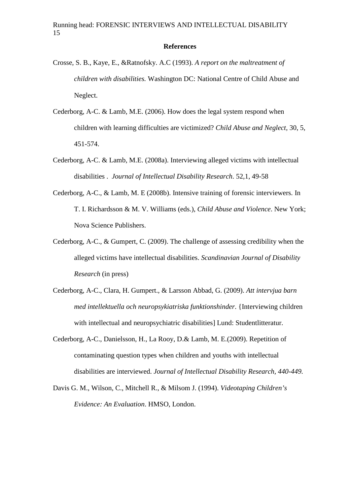#### **References**

- Crosse, S. B., Kaye, E., &Ratnofsky. A.C (1993). *A report on the maltreatment of children with disabilities.* Washington DC: National Centre of Child Abuse and Neglect.
- Cederborg, A-C. & Lamb, M.E. (2006). How does the legal system respond when children with learning difficulties are victimized? *Child Abuse and Neglect,* 30, 5, 451-574.
- Cederborg, A-C. & Lamb, M.E. (2008a). Interviewing alleged victims with intellectual disabilities . *Journal of Intellectual Disability Research*. 52,1, 49-58
- Cederborg, A-C., & Lamb, M. E (2008b). Intensive training of forensic interviewers. In T. I. Richardsson & M. V. Williams (eds.), *Child Abuse and Violence*. New York; Nova Science Publishers.
- Cederborg, A-C., & Gumpert, C. (2009). The challenge of assessing credibility when the alleged victims have intellectual disabilities. *Scandinavian Journal of Disability Research* (in press)
- Cederborg, A-C., Clara, H. Gumpert., & Larsson Abbad, G. (2009). *Att intervjua barn med intellektuella och neuropsykiatriska funktionshinder*. {Interviewing children with intellectual and neuropsychiatric disabilities] Lund: Studentlitteratur.
- Cederborg, A-C., Danielsson, H., La Rooy, D.& Lamb, M. E.(2009). Repetition of contaminating question types when children and youths with intellectual disabilities are interviewed. *Journal of Intellectual Disability Research, 440-449.*
- Davis G. M., Wilson, C., Mitchell R., & Milsom J. (1994). *Videotaping Children's Evidence: An Evaluation*. HMSO, London.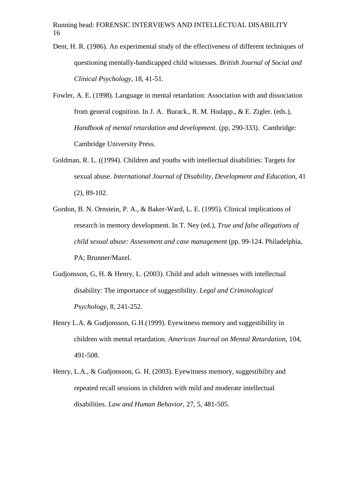- Dent, H. R. (1986). An experimental study of the effectiveness of different techniques of questioning mentally-handicapped child witnesses. *British Journal of Social and Clinical Psychology,* 18, 41-51.
- Fowler, A. E. (1998). Language in mental retardation: Association with and dissociation from general cognition. In J. A. Burack., R. M. Hodapp., & E. Zigler. (eds.), *Handbook of mental retardation and development.* (pp, 290-333). Cambridge: Cambridge University Press.
- Goldman, R. L. ((1994). Children and youths with intellectual disabilities: Targets for sexual abuse. *International Journal of Disability, Development and Education*, 41 (2), 89-102.
- Gordon, B. N. Ornstein, P. A., & Baker-Ward, L. E. (1995). Clinical implications of research in memory development. In T. Ney (ed.), *True and false allegations of child sexual abuse: Assessment and case management* (pp. 99-124. Philadelphia, PA; Brunner/Mazel.
- Gudjonsson, G, H. & Henry, L. (2003). Child and adult witnesses with intellectual disability: The importance of suggestibility. *Legal and Criminological Psychology,* 8, 241-252.
- Henry L.A. & Gudjonsson, G.H.(1999). Eyewitness memory and suggestibility in children with mental retardation. *American Journal on Mental Retardation*, 104, 491-508.
- Henry, L.A., & Gudjonsson, G. H. (2003). Eyewitness memory, suggestibility and repeated recall sessions in children with mild and moderate intellectual disabilities. *Law and Human Behavior,* 27, 5, 481-505.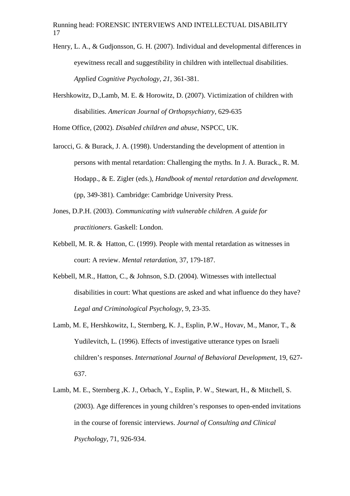- Henry, L. A., & Gudjonsson, G. H. (2007). Individual and developmental differences in eyewitness recall and suggestibility in children with intellectual disabilities. *Applied Cognitive Psychology, 21,* 361-381.
- Hershkowitz, D.,Lamb, M. E. & Horowitz, D. (2007). Victimization of children with disabilities. *American Journal of Orthopsychiatry*, 629-635

Home Office, (2002). *Disabled children and abuse,* NSPCC, UK.

- Iarocci, G. & Burack, J. A. (1998). Understanding the development of attention in persons with mental retardation: Challenging the myths. In J. A. Burack., R. M. Hodapp., & E. Zigler (eds.), *Handbook of mental retardation and development.* (pp, 349-381). Cambridge: Cambridge University Press.
- Jones, D.P.H. (2003). *Communicating with vulnerable children. A guide for practitioners.* Gaskell: London.
- Kebbell, M. R. & Hatton, C. (1999). People with mental retardation as witnesses in court: A review. *Mental retardation*, 37, 179-187.
- Kebbell, M.R., Hatton, C., & Johnson, S.D. (2004). Witnesses with intellectual disabilities in court: What questions are asked and what influence do they have? *Legal and Criminological Psychology*, 9, 23-35.
- Lamb, M. E, Hershkowitz, I., Sternberg, K. J., Esplin, P.W., Hovav, M., Manor, T., & Yudilevitch, L. (1996). Effects of investigative utterance types on Israeli children's responses. *International Journal of Behavioral Development,* 19, 627- 637.
- Lamb, M. E., Sternberg ,K. J., Orbach, Y., Esplin, P. W., Stewart, H., & Mitchell, S. (2003). Age differences in young children's responses to open-ended invitations in the course of forensic interviews. *Journal of Consulting and Clinical Psychology*, 71, 926-934.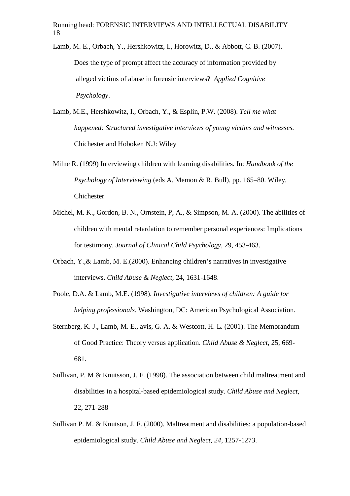- Lamb, M. E., Orbach, Y., Hershkowitz, I., Horowitz, D., & Abbott, C. B. (2007). Does the type of prompt affect the accuracy of information provided by alleged victims of abuse in forensic interviews? *Applied Cognitive Psychology*.
- Lamb, M.E., Hershkowitz, I., Orbach, Y., & Esplin, P.W. (2008). *Tell me what happened: Structured investigative interviews of young victims and witnesses.* Chichester and Hoboken N.J: Wiley
- Milne R. (1999) Interviewing children with learning disabilities. In: *Handbook of the Psychology of Interviewing* (eds A. Memon & R. Bull), pp. 165–80. Wiley, Chichester
- Michel, M. K., Gordon, B. N., Ornstein, P, A., & Simpson, M. A. (2000). The abilities of children with mental retardation to remember personal experiences: Implications for testimony. *Journal of Clinical Child Psychology*, 29, 453-463.
- Orbach, Y.,& Lamb, M. E.(2000). Enhancing children's narratives in investigative interviews. *Child Abuse & Neglect,* 24, 1631-1648.
- Poole, D.A. & Lamb, M.E. (1998). *Investigative interviews of children: A guide for helping professionals.* Washington, DC: American Psychological Association.
- Sternberg, K. J., Lamb, M. E., avis, G. A. & Westcott, H. L. (2001). The Memorandum of Good Practice: Theory versus application. *Child Abuse & Neglect*, 25, 669- 681.
- Sullivan, P. M & Knutsson, J. F. (1998). The association between child maltreatment and disabilities in a hospital-based epidemiological study. *Child Abuse and Neglect*, 22, 271-288
- Sullivan P. M. & Knutson, J. F. (2000). Maltreatment and disabilities: a population-based epidemiological study. *Child Abuse and Neglect, 24*, 1257-1273.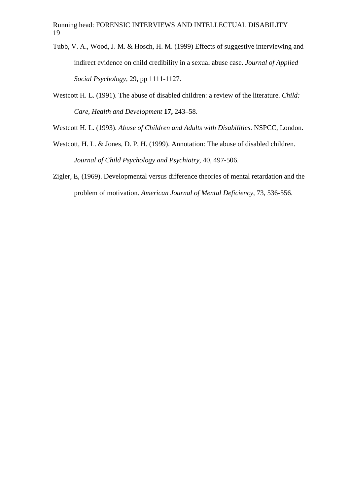- Tubb, V. A., Wood, J. M. & Hosch, H. M. (1999) Effects of suggestive interviewing and indirect evidence on child credibility in a sexual abuse case. *Journal of Applied Social Psychology,* 29, pp 1111-1127.
- Westcott H. L. (1991). The abuse of disabled children: a review of the literature. *Child: Care, Health and Development* **17,** 243–58.
- Westcott H. L. (1993). *Abuse of Children and Adults with Disabilities*. NSPCC, London.
- Westcott, H. L. & Jones, D. P, H. (1999). Annotation: The abuse of disabled children. *Journal of Child Psychology and Psychiatry,* 40, 497-506.
- Zigler, E, (1969). Developmental versus difference theories of mental retardation and the problem of motivation. *American Journal of Mental Deficiency*, 73, 536-556.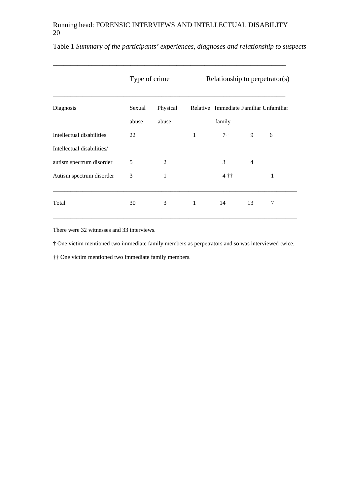\_\_\_\_\_\_\_\_\_\_\_\_\_\_\_\_\_\_\_\_\_\_\_\_\_\_\_\_\_\_\_\_\_\_\_\_\_\_\_\_\_\_\_\_\_\_\_\_\_\_\_\_\_\_\_\_\_\_\_\_\_\_\_\_\_\_

|                            | Type of crime |                | Relationship to perpetrator(s) |                |                |                                        |
|----------------------------|---------------|----------------|--------------------------------|----------------|----------------|----------------------------------------|
| Diagnosis                  | Sexual        | Physical       |                                |                |                | Relative Immediate Familiar Unfamiliar |
|                            | abuse         | abuse          |                                | family         |                |                                        |
| Intellectual disabilities  | 22            |                | 1                              | 7 <sup>†</sup> | 9              | 6                                      |
| Intellectual disabilities/ |               |                |                                |                |                |                                        |
| autism spectrum disorder   | 5             | $\mathfrak{D}$ |                                | 3              | $\overline{4}$ |                                        |
| Autism spectrum disorder   | 3             | 1              |                                | $4 + 1$        |                | 1                                      |
| Total                      | 30            | 3              | 1                              | 14             | 13             | 7                                      |

Table 1 *Summary of the participants' experiences, diagnoses and relationship to suspects* 

There were 32 witnesses and 33 interviews.

† One victim mentioned two immediate family members as perpetrators and so was interviewed twice.

†† One victim mentioned two immediate family members.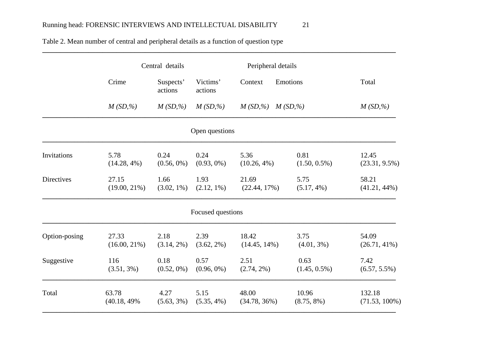|               | Central details |                      |                     | Peripheral details      |                 |                  |  |
|---------------|-----------------|----------------------|---------------------|-------------------------|-----------------|------------------|--|
|               | Crime           | Suspects'<br>actions | Victims'<br>actions | Context                 | Emotions        | Total            |  |
|               | $M(SD, \%)$     | $M(SD, \%)$          | $M(SD, \%)$         | $M(SD, \%)$ $M(SD, \%)$ |                 | $M(SD, \%)$      |  |
|               |                 |                      | Open questions      |                         |                 |                  |  |
| Invitations   | 5.78            | 0.24                 | 0.24                | 5.36                    | 0.81            | 12.45            |  |
|               | $(14.28, 4\%)$  | $(0.56, 0\%)$        | $(0.93, 0\%)$       | $(10.26, 4\%)$          | $(1.50, 0.5\%)$ | $(23.31, 9.5\%)$ |  |
| Directives    | 27.15           | 1.66                 | 1.93                | 21.69                   | 5.75            | 58.21            |  |
|               | $(19.00, 21\%)$ | $(3.02, 1\%)$        | $(2.12, 1\%)$       | $(22.44, 17\%)$         | $(5.17, 4\%)$   | $(41.21, 44\%)$  |  |
|               |                 |                      | Focused questions   |                         |                 |                  |  |
| Option-posing | 27.33           | 2.18                 | 2.39                | 18.42                   | 3.75            | 54.09            |  |
|               | $(16.00, 21\%)$ | $(3.14, 2\%)$        | $(3.62, 2\%)$       | $(14.45, 14\%)$         | $(4.01, 3\%)$   | $(26.71, 41\%)$  |  |
| Suggestive    | 116             | 0.18                 | 0.57                | 2.51                    | 0.63            | 7.42             |  |
|               | $(3.51, 3\%)$   | $(0.52, 0\%)$        | $(0.96, 0\%)$       | $(2.74, 2\%)$           | $(1.45, 0.5\%)$ | $(6.57, 5.5\%)$  |  |
| Total         | 63.78           | 4.27                 | 5.15                | 48.00                   | 10.96           | 132.18           |  |
|               | $(40.18, 49\%$  | $(5.63, 3\%)$        | $(5.35, 4\%)$       | $(34.78, 36\%)$         | $(8.75, 8\%)$   | $(71.53, 100\%)$ |  |

**\_\_\_\_\_\_\_\_\_\_\_\_\_\_\_\_\_\_\_\_\_\_\_\_\_\_\_\_\_\_\_\_\_\_\_\_\_\_\_\_\_\_\_\_\_\_\_\_\_\_\_\_\_\_\_\_\_\_\_\_\_\_\_\_\_\_\_\_\_\_\_\_\_\_\_\_\_\_\_\_\_\_\_\_\_\_\_\_\_\_\_\_\_\_\_\_\_\_\_\_** 

**\_\_\_\_\_\_\_\_\_\_\_\_\_\_\_\_\_\_\_\_\_\_\_\_\_\_\_\_\_\_\_\_\_\_\_\_\_\_\_\_\_\_\_\_\_\_\_\_\_\_\_\_\_\_\_\_\_\_\_\_\_\_\_\_\_\_\_\_\_\_\_\_\_\_\_\_\_\_\_\_\_\_\_\_\_\_\_\_\_\_\_\_\_\_\_\_\_\_\_\_** 

Table 2. Mean number of central and peripheral details as a function of question type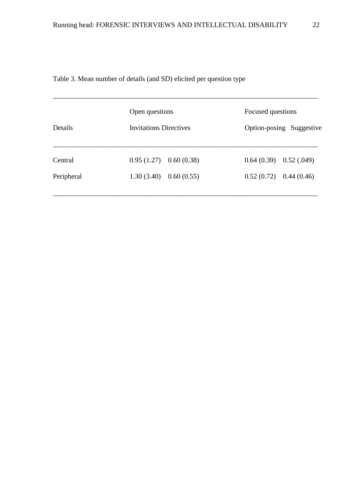| Details    | Open questions<br><b>Invitations Directives</b> | Focused questions<br>Option-posing Suggestive |
|------------|-------------------------------------------------|-----------------------------------------------|
| Central    | $0.95(1.27)$ $0.60(0.38)$                       | $0.64(0.39)$ $0.52(.049)$                     |
| Peripheral | $1.30(3.40)$ 0.60 (0.55)                        | $0.52(0.72)$ 0.44 (0.46)                      |

\_\_\_\_\_\_\_\_\_\_\_\_\_\_\_\_\_\_\_\_\_\_\_\_\_\_\_\_\_\_\_\_\_\_\_\_\_\_\_\_\_\_\_\_\_\_\_\_\_\_\_\_\_\_\_\_\_\_\_\_\_\_\_\_\_\_\_\_\_\_\_\_\_\_\_

Table 3. Mean number of details (and SD) elicited per question type